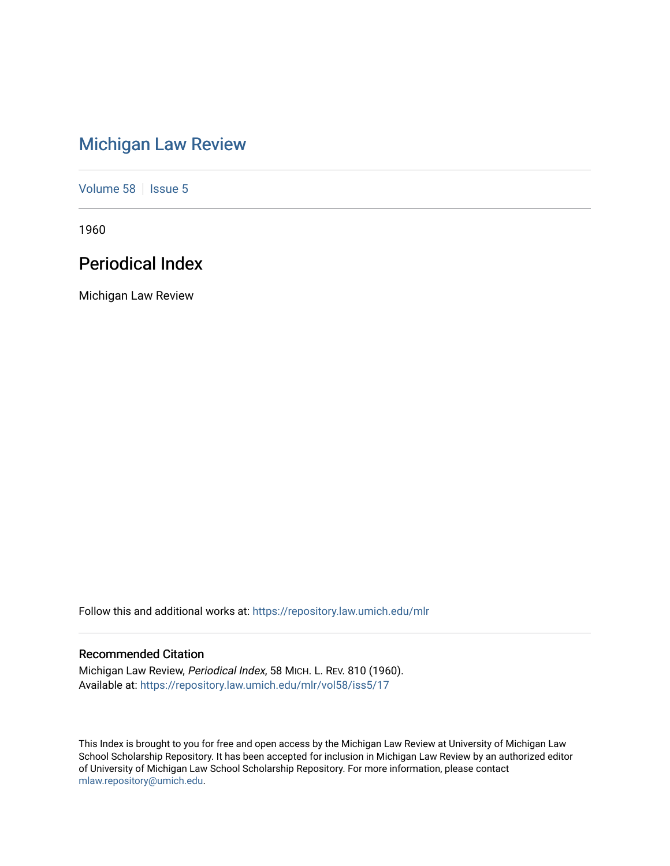# [Michigan Law Review](https://repository.law.umich.edu/mlr)

[Volume 58](https://repository.law.umich.edu/mlr/vol58) | [Issue 5](https://repository.law.umich.edu/mlr/vol58/iss5)

1960

# Periodical Index

Michigan Law Review

Follow this and additional works at: [https://repository.law.umich.edu/mlr](https://repository.law.umich.edu/mlr?utm_source=repository.law.umich.edu%2Fmlr%2Fvol58%2Fiss5%2F17&utm_medium=PDF&utm_campaign=PDFCoverPages) 

# Recommended Citation

Michigan Law Review, Periodical Index, 58 MICH. L. REV. 810 (1960). Available at: [https://repository.law.umich.edu/mlr/vol58/iss5/17](https://repository.law.umich.edu/mlr/vol58/iss5/17?utm_source=repository.law.umich.edu%2Fmlr%2Fvol58%2Fiss5%2F17&utm_medium=PDF&utm_campaign=PDFCoverPages) 

This Index is brought to you for free and open access by the Michigan Law Review at University of Michigan Law School Scholarship Repository. It has been accepted for inclusion in Michigan Law Review by an authorized editor of University of Michigan Law School Scholarship Repository. For more information, please contact [mlaw.repository@umich.edu.](mailto:mlaw.repository@umich.edu)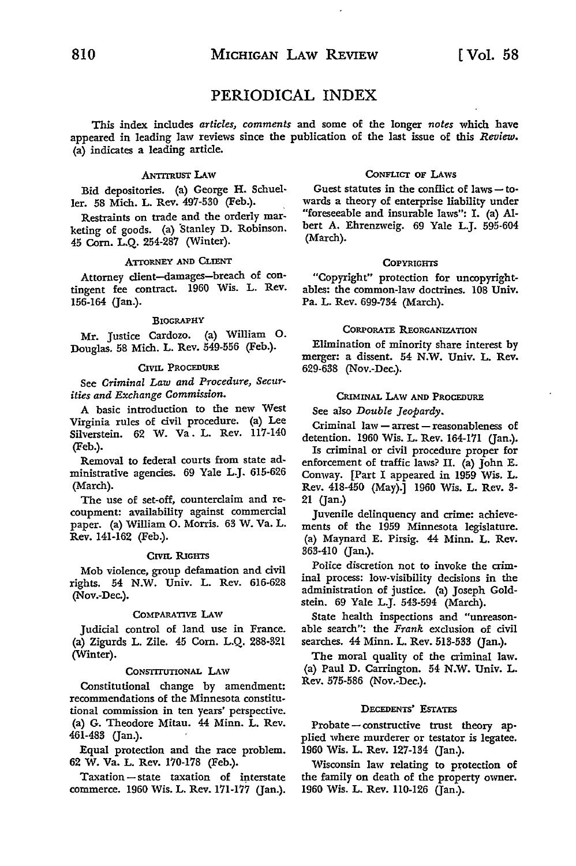This index includes *articles, comments* and some of the longer *notes* which **have**  appeared in leading law reviews since the publication of the last issue of this *Review.*  (a) indicates a leading article.

#### ANTITRUST LAW

Bid depositories. (a) George H. Schueller. 58 Mich. L. Rev. 497-530 (Feb.).

Restraints on trade and the orderly marketing of goods. (a) Stanley D. Robinson. 45 Corn. L.Q. 254-287 (Winter).

# ATIORNEY AND CLIENT

Attorney client-damages-breach of contingent fee contract. 1960 Wis. L. Rev. 156-164 (Jan.).

#### BIOGRAPHY

Mr. Justice Cardozo. (a) William O. Douglas. 58 Mich. L. Rev. 549-556 (Feb.).

#### CIVIL PROCEDURE

See *Criminal Law and Procedure, Securities and Exchange Commission.* 

A basic introduction to the new West Virginia rules of civil procedure. (a) Lee Silverstein. 62 W. Va. L. Rev. 117-140 (Feb.).

Removal to federal courts from state administrative agencies. 69 Yale L.J. 615-626 (March).

The use of set-off, counterclaim and recoupment: availability against commercial paper. (a) William 0. Morris. 63 W. Va. L. Rev. 141-162 (Feb.).

#### CIVIL RIGHTS

Mob violence, group defamation and civil rights. 54 N.W. Univ. L. Rev. 616-628 (Nov.-Dec.).

#### COMPARATIVE LAW

Judicial control of land use in France. (a) Zigurds L. Zile. 45 Corn. L.Q. 288-321 (Winter).

#### CONSTITUTIONAL LAW

Constitutional change by amendment: recommendations of the Minnesota constitutional commission in ten years' perspective. (a) G. Theodore Mitau. 44 Minn. L. Rev. 461-483 (Jan.).

Equal protection and the race problem. 62 W. Va. L. Rev. 170-178 (Feb.).

 $Taxation - state$  taxation of interstate commerce. 1960 Wis. L. Rev. 171-177 (Jan.).

#### CoNFLicr OF LAws

Guest statutes in the conflict of laws - towards a theory of enterprise liability under "foreseeable and insurable laws": I. (a) Albert A. Ehrenzweig. 69 Yale L.J. 595-604 (March).

#### **COPYRIGHTS**

"Copyright" protection for uncopyrightables: the common-law doctrines. 108 Univ. Pa. L. Rev. 699-734 (March).

#### CORPORATE REORGANIZATION

Elimination of minority share interest by merger: a dissent. 54 **N.W.** Univ. L. **Rev.**  629-638 (Nov.-Dec.).

#### CRIMINAL LAW AND PROCEDURE

See also *Double Jeopardy.* 

Criminal law - arrest - reasonableness of detention. 1960 Wis. L. Rev. 164-171 (Jan.).

Is criminal or civil procedure proper for enforcement of traffic laws? II. (a) John E. Conway. [Part I appeared in 1959 Wis. L. Rev. 418-450 (May).] 1960 Wis. L. Rev. 3- 21 (Jan.)

Juvenile delinquency and crime: achievements of the 1959 Minnesota legislature. (a) Maynard E. Pirsig. 44 Minn. L. Rev. 363-410 (Jan.).

Police discretion not to invoke the criminal process: low-visibility decisions in the administration of justice. (a) Joseph Goldstein. 69 Yale L.J. 543-594 (March).

State health inspections and "unreasonable search": the *Frank* exclusion of civil searches. 44 Minn. L. Rev. 513-533 (Jan.).

The moral quality of the criminal law. (a) Paul D. Carrington. 54 N.W. Univ. L. Rev. 575-586 (Nov.-Dec.).

#### DECEDENTS' EsrATES

Probate-constructive trust theory applied where murderer or testator is legatee. 1960 Wis. L. Rev. 127-134 (Jan.).

Wisconsin law relating to protection of the family on death of the property owner. 1960 Wis. L. Rev. 110-126 (Jan.).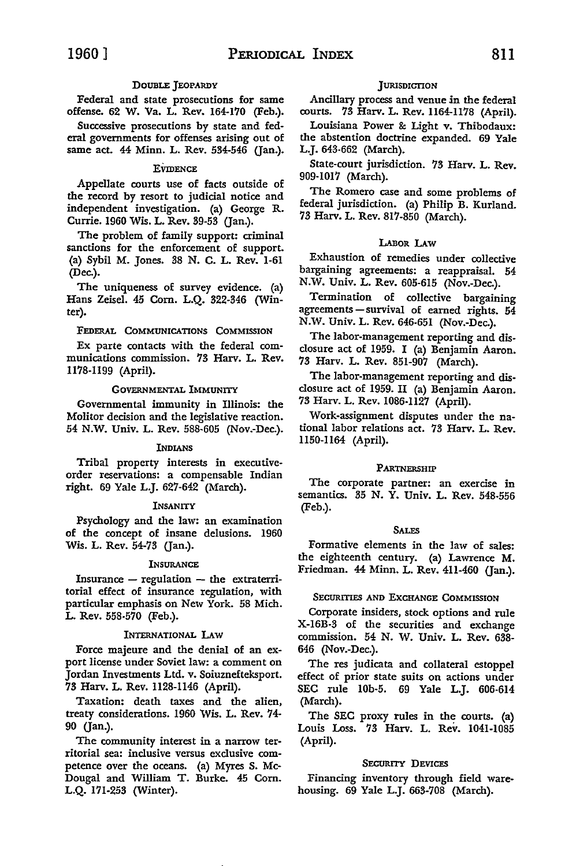# DOUBLE JEOPARDY

Federal and state prosecutions for same offense. 62 W. Va. L. Rev. 164-170 (Feb.).

Successive prosecutions by state and federal governments for offenses arising out of same act. 44 Minn. L. Rev. 534-546 (Jan.).

#### **EVIDENCE**

Appellate courts use of facts outside of the record by resort to judicial notice and independent investigation. (a) George R. Currie. 1960 Wis. L. Rev. 39-53 (Jan.).

The problem of family support: criminal sanctions for the enforcement of support. (a) Sybil M. Jones. 38 N. C. L. Rev. 1-61 (Dec.).

The uniqueness of survey evidence. (a) Hans Zeise!. 45 Corn. L.Q. 322-346 (Winter).

#### FEDERAL COMMUNICATIONS COMMISSION

Ex parte contacts with the federal communications commission. 73 Harv. L. Rev. 1178-1199 (April).

#### GOVERNMENTAL IMMUNITY

Governmental immunity in Illinois: the Molitor decision and the legislative reaction. 54 **N.W.** Univ. L. Rev. 588-605 (Nov.-Dec.).

#### INDIANS

Tribal property interests in executiveorder reservations: a compensable Indian right. 69 Yale L.J. 627-642 (March).

#### INSANITY

Psychology and the law: an examination of the concept of insane delusions. 1960 Wis. L. Rev. 54-73 (Jan.).

# INSURANCE

Insurance  $-$  regulation  $-$  the extraterritorial effect of insurance regulation, with particular emphasis on New York. 58 Mich. L. Rev. 558-570 (Feb.).

#### INTERNATIONAL LAW

Force majeure and the denial of an export license under Soviet law: a comment on Jordan Investments Ltd. v. Soiuznefteksport. 73 Harv. L. Rev. 1128-1146 (April).

Taxation: death taxes and the alien, treaty considerations. 1960 Wis. L. Rev. 74- 90 (Jan.).

The community interest in a narrow territorial sea: inclusive versus exclusive competence over the oceans. (a) Myres S. Mc-Dougal and William T. Burke. 45 Com. L.Q. 171-253 (Winter).

### JURISDICTION

Ancillary process and venue in the federal courts. 73 Harv. L. Rev. 1164-1178 (April).

Louisiana Power &: Light v. Thibodaux: the abstention doctrine expanded. 69 Yale L.J. 643-662 (March).

State-court jurisdiction. 73 Harv. L. Rev. 909-1017 (March).

The Romero case and some problems of federal jurisdiction. (a) Philip B. Kurland. 73 Harv. L. Rev. 817-850 (March).

#### LABOR LAW

Exhaustion of remedies under collective bargaining agreements: a reappraisal. 54 N.W. Univ. L. Rev. 605-615 (Nov.-Dec.).

Termination of collective bargaining agreements - survival of earned rights.  $54$ N.W. Univ. L. Rev. 646-651 (Nov.-Dec.).

The labor-management reporting and disclosure act of 1959. I (a) Benjamin Aaron. 73 Harv. L. Rev. 851-907 (March).

The labor-management reporting and disclosure act of 1959. II (a) Benjamin Aaron. 73 Harv. L. Rev. 1086-1127 (April).

Work-assignment disputes under the national labor relations act. 73 Harv. L. Rev. 1150-1164 (April).

#### PARTNERSHIP

The corporate partner: an exercise in semantics. 35 N. Y. Univ. L. Rev. 548-556 (Feb.).

#### **SALES**

Formative elements in the law of sales: the eighteenth century. (a) Lawrence M. Friedman. 44 Minn. L. Rev. 411-460 (Jan.).

# SECURITIES AND EXCHANGE COMMISSION

Corporate insiders, stock options and rule X-16B-3 of the securities and exchange commission. 54 **N. W.** Univ. L. Rev. 638- 646 (Nov.-Dec.).

The res judicata and collateral estoppel effect of prior state suits on actions under SEC rule lOb-5. 69 Yale L.J. 606-614 (March).

The SEC proxy rules in the courts. (a) Louis Loss. 73 Harv. L. Rev. 1041-1085 (April).

# SECURITY DEVICES

Financing inventory through field warehousing. 69 Yale L.J. 663-708 (March).